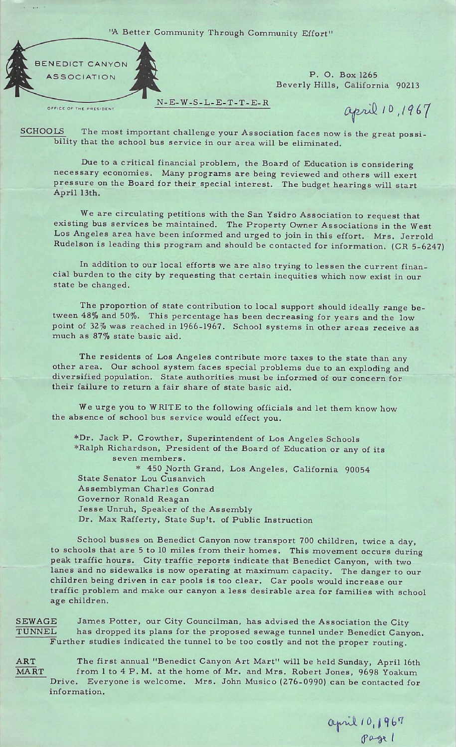"A Better Community Through Community Effort'



Beverly Hills, California 90213

april 10, 1967

SCHOOLS The most important challenge your Association faces now is the great possibility that the school bus service in our area will be eliminated.

N-E-W-S-L-E-T-T-E-R

Due to a critical financial problem, the Board of Education is considering necessary economies. Many programs are being reviewed and others will exert pressure on the Board for their special interest. The budget hearings will start April 13th.

We are circulating petitions with the San Ysidro Association to request that existing bus services be maintained. The Property Owner Associations in the West Los Angeles area have been informed and urged to join in this effort. Mrs. Jerrold Rudelson is leading this program and should be contacted for information. (CR 5-6247)

In addition to our local efforts we are also trying to lessen the current finan cial burden to the city by requesting that certain inequities which now exist in our state be changed.

The proportion of state contribution to local support should ideally range be tween 48% and 50%. This percentage has been decreasing for years and the low point of 32% was reached in 1966-1967. School systems in other areas receive as much as 87% state basic aid.

The residents of Los Angeles contribute more taxes to the state than any other area. Our school system faces special problems due to an exploding and diversified population. State authorities must be informed of our concern for their failure to return a fair share of state basic aid.

We urge you to WRITE to the following officials and let them know how the absence of school bus service would effect you.

♦Dr. Jack P. Crowther, Superintendent of Los Angeles Schools ♦Ralph Richardson, President of the Board of Education or any of its seven members. \* 450 North Grand, Los Angeles, California 90054 State Senator Lou Cusanvich Assemblyman Charles Conrad Governor Ronald Reagan Jesse Unruh, Speaker of the Assembly Dr. Max Rafferty, State Sup't. of Public Instruction

School busses on Benedict Canyon now transport 700 children, twice a day, to schools that are 5 to 10 miles from their homes. This movement occurs during peak traffic hours. City traffic reports indicate that Benedict Canyon, with two lanes and no sidewalks is now operating at maximum capacity. The danger to our children being driven in car pools is too clear. Car pools would increase our traffic problem and make our canyon a less desirable area for families with school age children.

SEWAGE James Potter, our City Councilman, has advised the Association the City TUNNEL has dropped its plans for the proposed sewage tunnel under Benedict Canyon. Further studies indicated the tunnel to be too costly and not the proper routing.

ART The first annual "Benedict Canyon Art Mart" will be held Sunday, April 16th MART from 1 to 4 P.M. at the home of Mr. and Mrs. Robert Jones, 9698 Yoakum Drive. Everyone is welcome. Mrs. John Musico (276-0990) can be contacted for information.